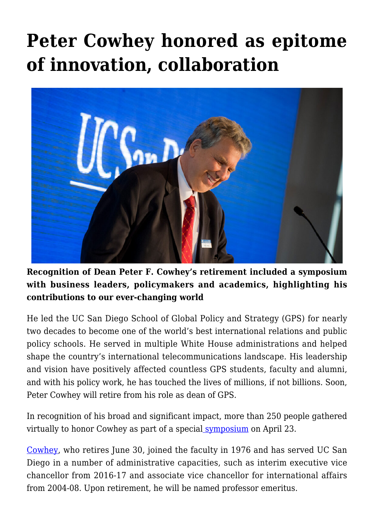## **[Peter Cowhey honored as epitome](https://gpsnews.ucsd.edu/peter-cowhey-honored-as-epitome-of-innovation-collaboration/) [of innovation, collaboration](https://gpsnews.ucsd.edu/peter-cowhey-honored-as-epitome-of-innovation-collaboration/)**



**Recognition of Dean Peter F. Cowhey's retirement included a symposium with business leaders, policymakers and academics, highlighting his contributions to our ever-changing world** 

He led the UC San Diego School of Global Policy and Strategy (GPS) for nearly two decades to become one of the world's best international relations and public policy schools. He served in multiple White House administrations and helped shape the country's international telecommunications landscape. His leadership and vision have positively affected countless GPS students, faculty and alumni, and with his policy work, he has touched the lives of millions, if not billions. Soon, Peter Cowhey will retire from his role as dean of GPS.

In recognition of his broad and significant impact, more than 250 people gathered virtually to honor Cowhey as part of a special [symposium](https://gps.ucsd.edu/news-events/events/cowhey-symposium.html#April-23:-Agenda) on April 23.

[Cowhey,](https://gps.ucsd.edu/faculty-directory/peter-cowhey.html) who retires June 30, joined the faculty in 1976 and has served UC San Diego in a number of administrative capacities, such as interim executive vice chancellor from 2016-17 and associate vice chancellor for international affairs from 2004-08. Upon retirement, he will be named professor emeritus.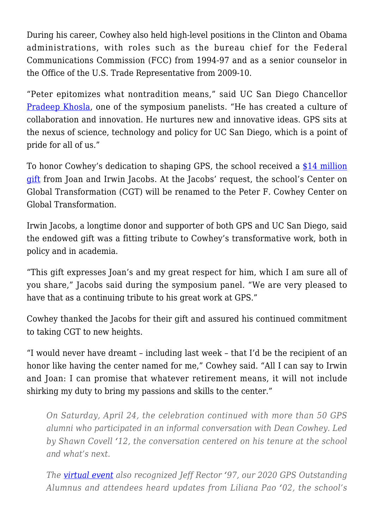During his career, Cowhey also held high-level positions in the Clinton and Obama administrations, with roles such as the bureau chief for the Federal Communications Commission (FCC) from 1994-97 and as a senior counselor in the Office of the U.S. Trade Representative from 2009-10.

"Peter epitomizes what nontradition means," said UC San Diego Chancellor [Pradeep Khosla,](https://chancellor.ucsd.edu/chancellor-khosla/khosla-biography) one of the symposium panelists. "He has created a culture of collaboration and innovation. He nurtures new and innovative ideas. GPS sits at the nexus of science, technology and policy for UC San Diego, which is a point of pride for all of us."

To honor Cowhey's dedication to shaping GPS, the school received a [\\$14 million](https://ucsdnews.ucsd.edu/pressrelease/joan-and-irwin-jacobs-gift-14-million-to-the-school-of-global-policy-and-strategy) [gift](https://ucsdnews.ucsd.edu/pressrelease/joan-and-irwin-jacobs-gift-14-million-to-the-school-of-global-policy-and-strategy) from Joan and Irwin Jacobs. At the Jacobs' request, the school's Center on Global Transformation (CGT) will be renamed to the Peter F. Cowhey Center on Global Transformation.

Irwin Jacobs, a longtime donor and supporter of both GPS and UC San Diego, said the endowed gift was a fitting tribute to Cowhey's transformative work, both in policy and in academia.

"This gift expresses Joan's and my great respect for him, which I am sure all of you share," Jacobs said during the symposium panel. "We are very pleased to have that as a continuing tribute to his great work at GPS."

Cowhey thanked the Jacobs for their gift and assured his continued commitment to taking CGT to new heights.

"I would never have dreamt – including last week – that I'd be the recipient of an honor like having the center named for me," Cowhey said. "All I can say to Irwin and Joan: I can promise that whatever retirement means, it will not include shirking my duty to bring my passions and skills to the center."

*On Saturday, April 24, the celebration continued with more than 50 GPS alumni who participated in an informal conversation with Dean Cowhey. Led by Shawn Covell '12, the conversation centered on his tenure at the school and what's next.*

*The [virtual event](https://www.youtube.com/watch?v=IFirRp9gTy4&list=PLYlx1JnW9W-NvYYBktQxzK39s2z_iVg6I) also recognized Jeff Rector '97, our 2020 GPS Outstanding Alumnus and attendees heard updates from Liliana Pao '02, the school's*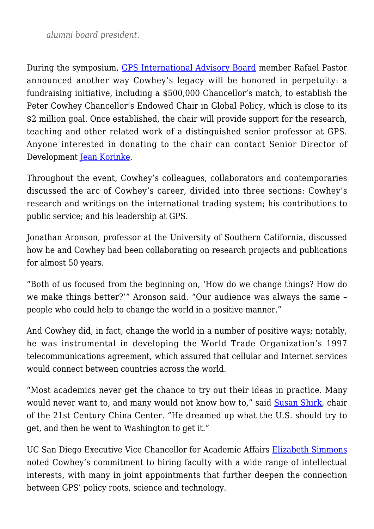*alumni board president.*

During the symposium, [GPS International Advisory Board](https://gps.ucsd.edu/about/advisory-groups.html#2020%E2%80%9321-Members) member Rafael Pastor announced another way Cowhey's legacy will be honored in perpetuity: a fundraising initiative, including a \$500,000 Chancellor's match, to establish the Peter Cowhey Chancellor's Endowed Chair in Global Policy, which is close to its \$2 million goal. Once established, the chair will provide support for the research, teaching and other related work of a distinguished senior professor at GPS. Anyone interested in donating to the chair can contact Senior Director of Development [Jean Korinke](mailto:jkorinke@ucsd.edu).

Throughout the event, Cowhey's colleagues, collaborators and contemporaries discussed the arc of Cowhey's career, divided into three sections: Cowhey's research and writings on the international trading system; his contributions to public service; and his leadership at GPS.

Jonathan Aronson, professor at the University of Southern California, discussed how he and Cowhey had been collaborating on research projects and publications for almost 50 years.

"Both of us focused from the beginning on, 'How do we change things? How do we make things better?'" Aronson said. "Our audience was always the same – people who could help to change the world in a positive manner."

And Cowhey did, in fact, change the world in a number of positive ways; notably, he was instrumental in developing the World Trade Organization's 1997 telecommunications agreement, which assured that cellular and Internet services would connect between countries across the world.

"Most academics never get the chance to try out their ideas in practice. Many would never want to, and many would not know how to," said [Susan Shirk,](https://gps.ucsd.edu/faculty-directory/susan-shirk.html) chair of the 21st Century China Center. "He dreamed up what the U.S. should try to get, and then he went to Washington to get it."

UC San Diego Executive Vice Chancellor for Academic Affairs [Elizabeth Simmons](https://evc.ucsd.edu/about/meet-the-executive-vice-chancellor.html) noted Cowhey's commitment to hiring faculty with a wide range of intellectual interests, with many in joint appointments that further deepen the connection between GPS' policy roots, science and technology.